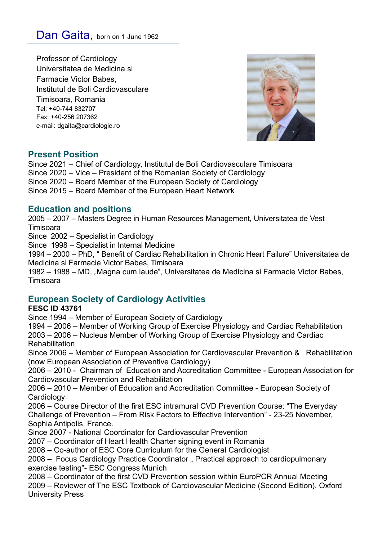Professor of Cardiology Universitatea de Medicina si Farmacie Victor Babes, Institutul de Boli Cardiovasculare Timisoara, Romania Tel: +40-744 832707 Fax: +40-256 207362 e-mail: dgaita@cardiologie.ro



# **Present Position**

Since 2021 – Chief of Cardiology, Institutul de Boli Cardiovasculare Timisoara Since 2020 – Vice – President of the Romanian Society of Cardiology Since 2020 – Board Member of the European Society of Cardiology Since 2015 – Board Member of the European Heart Network

## **Education and positions**

2005 – 2007 – Masters Degree in Human Resources Management, Universitatea de Vest Timisoara

Since 2002 – Specialist in Cardiology

Since 1998 – Specialist in Internal Medicine

1994 – 2000 – PhD, " Benefit of Cardiac Rehabilitation in Chronic Heart Failure" Universitatea de Medicina si Farmacie Victor Babes, Timisoara

1982 – 1988 – MD, "Magna cum laude", Universitatea de Medicina si Farmacie Victor Babes, Timisoara

# **European Society of Cardiology Activities**

### **FESC ID 43761**

Since 1994 – Member of European Society of Cardiology

1994 – 2006 – Member of Working Group of Exercise Physiology and Cardiac Rehabilitation

2003 – 2006 – Nucleus Member of Working Group of Exercise Physiology and Cardiac Rehabilitation

Since 2006 – Member of European Association for Cardiovascular Prevention & Rehabilitation (now European Association of Preventive Cardiology)

2006 – 2010 - Chairman of Education and Accreditation Committee - European Association for Cardiovascular Prevention and Rehabilitation

2006 – 2010 – Member of Education and Accreditation Committee - European Society of **Cardiology** 

2006 – Course Director of the first ESC intramural CVD Prevention Course: "The Everyday Challenge of Prevention – From Risk Factors to Effective Intervention" - 23-25 November, Sophia Antipolis, France.

Since 2007 - National Coordinator for Cardiovascular Prevention

2007 – Coordinator of Heart Health Charter signing event in Romania

2008 – Co-author of ESC Core Curriculum for the General Cardiologist

2008 – Focus Cardiology Practice Coordinator " Practical approach to cardiopulmonary exercise testing"- ESC Congress Munich

2008 – Coordinator of the first CVD Prevention session within EuroPCR Annual Meeting 2009 – Reviewer of The ESC Textbook of Cardiovascular Medicine (Second Edition), Oxford University Press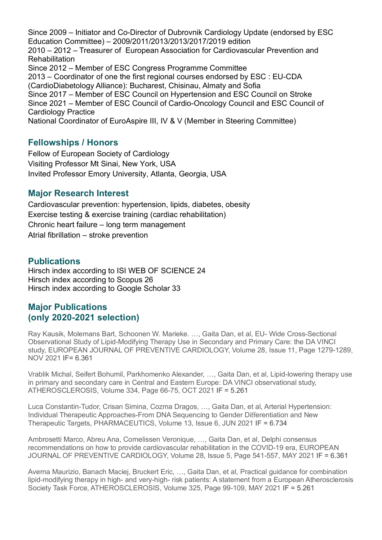Since 2009 – Initiator and Co-Director of Dubrovnik Cardiology Update (endorsed by ESC Education Committee) – 2009/2011/2013/2013/2017/2019 edition 2010 – 2012 – Treasurer of European Association for Cardiovascular Prevention and Rehabilitation Since 2012 – Member of ESC Congress Programme Committee 2013 – Coordinator of one the first regional courses endorsed by ESC : EU-CDA (CardioDiabetology Alliance): Bucharest, Chisinau, Almaty and Sofia Since 2017 – Member of ESC Council on Hypertension and ESC Council on Stroke Since 2021 – Member of ESC Council of Cardio-Oncology Council and ESC Council of Cardiology Practice National Coordinator of EuroAspire III, IV & V (Member in Steering Committee)

## **Fellowships / Honors**

Fellow of European Society of Cardiology Visiting Professor Mt Sinai, New York, USA Invited Professor Emory University, Atlanta, Georgia, USA

## **Major Research Interest**

Cardiovascular prevention: hypertension, lipids, diabetes, obesity Exercise testing & exercise training (cardiac rehabilitation) Chronic heart failure – long term management Atrial fibrillation – stroke prevention

## **Publications**

Hirsch index according to ISI WEB OF SCIENCE 24 Hirsch index according to Scopus 26 Hirsch index according to Google Scholar 33

# **Major Publications (only 2020-2021 selection)**

Ray Kausik, Molemans Bart, Schoonen W. Marieke. …, Gaita Dan, et al, EU- Wide Cross-Sectional Observational Study of Lipid-Modifying Therapy Use in Secondary and Primary Care: the DA VINCI study, EUROPEAN JOURNAL OF PREVENTIVE CARDIOLOGY, Volume 28, Issue 11, Page 1279-1289, NOV 2021 IF= 6.361

Vrablik Michal, Seifert Bohumil, Parkhomenko Alexander, …, Gaita Dan, et al, Lipid-lowering therapy use in primary and secondary care in Central and Eastern Europe: DA VINCI observational study, ATHEROSCLEROSIS, Volume 334, Page 66-75, OCT 2021 IF = 5.261

Luca Constantin-Tudor, Crisan Simina, Cozma Dragos, …, Gaita Dan, et al, Arterial Hypertension: Individual Therapeutic Approaches-From DNA Sequencing to Gender Differentiation and New Therapeutic Targets, PHARMACEUTICS, Volume 13, Issue 6, JUN 2021 IF = 6.734

Ambrosetti Marco, Abreu Ana, Cornelissen Veronique, …, Gaita Dan, et al, Delphi consensus recommendations on how to provide cardiovascular rehabilitation in the COVID-19 era, EUROPEAN JOURNAL OF PREVENTIVE CARDIOLOGY, Volume 28, Issue 5, Page 541-557, MAY 2021 IF = 6.361

Averna Maurizio, Banach Maciej, Bruckert Eric, …, Gaita Dan, et al, Practical guidance for combination lipid-modifying therapy in high- and very-high- risk patients: A statement from a European Atherosclerosis Society Task Force, ATHEROSCLEROSIS, Volume 325, Page 99-109, MAY 2021 IF = 5.261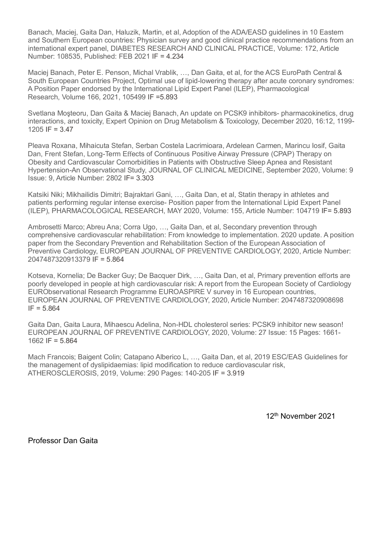Banach, Maciej, Gaita Dan, Haluzik, Martin, et al, Adoption of the ADA/EASD guidelines in 10 Eastern and Southern European countries: Physician survey and good clinical practice recommendations from an international expert panel, DIABETES RESEARCH AND CLINICAL PRACTICE, Volume: 172, Article Number: 108535, Published: FEB 2021 IF = 4.234

Maciej Banach, Peter E. Penson, Michal Vrablik, …, Dan Gaita, et al, for the ACS EuroPath Central & South European Countries Project, Optimal use of lipid-lowering therapy after acute coronary syndromes: A Position Paper endorsed by the International Lipid Expert Panel (ILEP), Pharmacological Research, Volume 166, 2021, 105499 IF =5.893

Svetlana Moşteoru, Dan Gaita & Maciej Banach, An update on PCSK9 inhibitors- pharmacokinetics, drug interactions, and toxicity, Expert Opinion on Drug Metabolism & Toxicology, December 2020, 16:12, 1199- 1205 IF =  $3.47$ 

Pleava Roxana, Mihaicuta Stefan, Serban Costela Lacrimioara, Ardelean Carmen, Marincu Iosif, Gaita Dan, Frent Stefan, Long-Term Effects of Continuous Positive Airway Pressure (CPAP) Therapy on Obesity and Cardiovascular Comorbidities in Patients with Obstructive Sleep Apnea and Resistant Hypertension-An Observational Study, JOURNAL OF CLINICAL MEDICINE, September 2020, Volume: 9 Issue: 9, Article Number: 2802 IF= 3.303

Katsiki Niki; Mikhailidis Dimitri; Bajraktari Gani, …, Gaita Dan, et al, Statin therapy in athletes and patients performing regular intense exercise- Position paper from the International Lipid Expert Panel (ILEP), PHARMACOLOGICAL RESEARCH, MAY 2020, Volume: 155, Article Number: 104719 IF= 5.893

Ambrosetti Marco; Abreu Ana; Corra Ugo, …, Gaita Dan, et al, Secondary prevention through comprehensive cardiovascular rehabilitation: From knowledge to implementation. 2020 update. A position paper from the Secondary Prevention and Rehabilitation Section of the European Association of Preventive Cardiology, EUROPEAN JOURNAL OF PREVENTIVE CARDIOLOGY, 2020, Article Number: 2047487320913379 IF = 5.864

Kotseva, Kornelia; De Backer Guy; De Bacquer Dirk, …, Gaita Dan, et al, Primary prevention efforts are poorly developed in people at high cardiovascular risk: A report from the European Society of Cardiology EURObservational Research Programme EUROASPIRE V survey in 16 European countries, EUROPEAN JOURNAL OF PREVENTIVE CARDIOLOGY, 2020, Article Number: 2047487320908698  $IF = 5.864$ 

Gaita Dan, Gaita Laura, Mihaescu Adelina, Non-HDL cholesterol series: PCSK9 inhibitor new season! EUROPEAN JOURNAL OF PREVENTIVE CARDIOLOGY, 2020, Volume: 27 Issue: 15 Pages: 1661- 1662 IF = 5.864

Mach Francois; Baigent Colin; Catapano Alberico L, …, Gaita Dan, et al, 2019 ESC/EAS Guidelines for the management of dyslipidaemias: lipid modification to reduce cardiovascular risk, ATHEROSCLEROSIS, 2019, Volume: 290 Pages: 140-205 IF = 3.919

12th November 2021

Professor Dan Gaita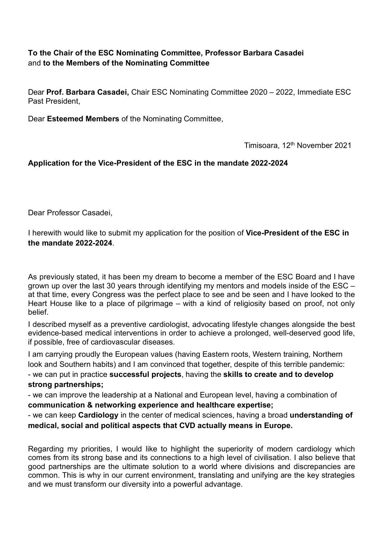## **To the Chair of the ESC Nominating Committee, Professor Barbara Casadei** and **to the Members of the Nominating Committee**

Dear **Prof. Barbara Casadei,** Chair ESC Nominating Committee 2020 – 2022, Immediate ESC Past President,

Dear **Esteemed Members** of the Nominating Committee,

Timisoara, 12th November 2021

### **Application for the Vice-President of the ESC in the mandate 2022-2024**

Dear Professor Casadei,

I herewith would like to submit my application for the position of **Vice-President of the ESC in the mandate 2022-2024**.

As previously stated, it has been my dream to become a member of the ESC Board and I have grown up over the last 30 years through identifying my mentors and models inside of the ESC – at that time, every Congress was the perfect place to see and be seen and I have looked to the Heart House like to a place of pilgrimage – with a kind of religiosity based on proof, not only belief.

I described myself as a preventive cardiologist, advocating lifestyle changes alongside the best evidence-based medical interventions in order to achieve a prolonged, well-deserved good life, if possible, free of cardiovascular diseases.

I am carrying proudly the European values (having Eastern roots, Western training, Northern look and Southern habits) and I am convinced that together, despite of this terrible pandemic: - we can put in practice **successful projects**, having the **skills to create and to develop**

# **strong partnerships;**

- we can improve the leadership at a National and European level, having a combination of **communication & networking experience and healthcare expertise;**

- we can keep **Cardiology** in the center of medical sciences, having a broad **understanding of medical, social and political aspects that CVD actually means in Europe.**

Regarding my priorities, I would like to highlight the superiority of modern cardiology which comes from its strong base and its connections to a high level of civilisation. I also believe that good partnerships are the ultimate solution to a world where divisions and discrepancies are common. This is why in our current environment, translating and unifying are the key strategies and we must transform our diversity into a powerful advantage.